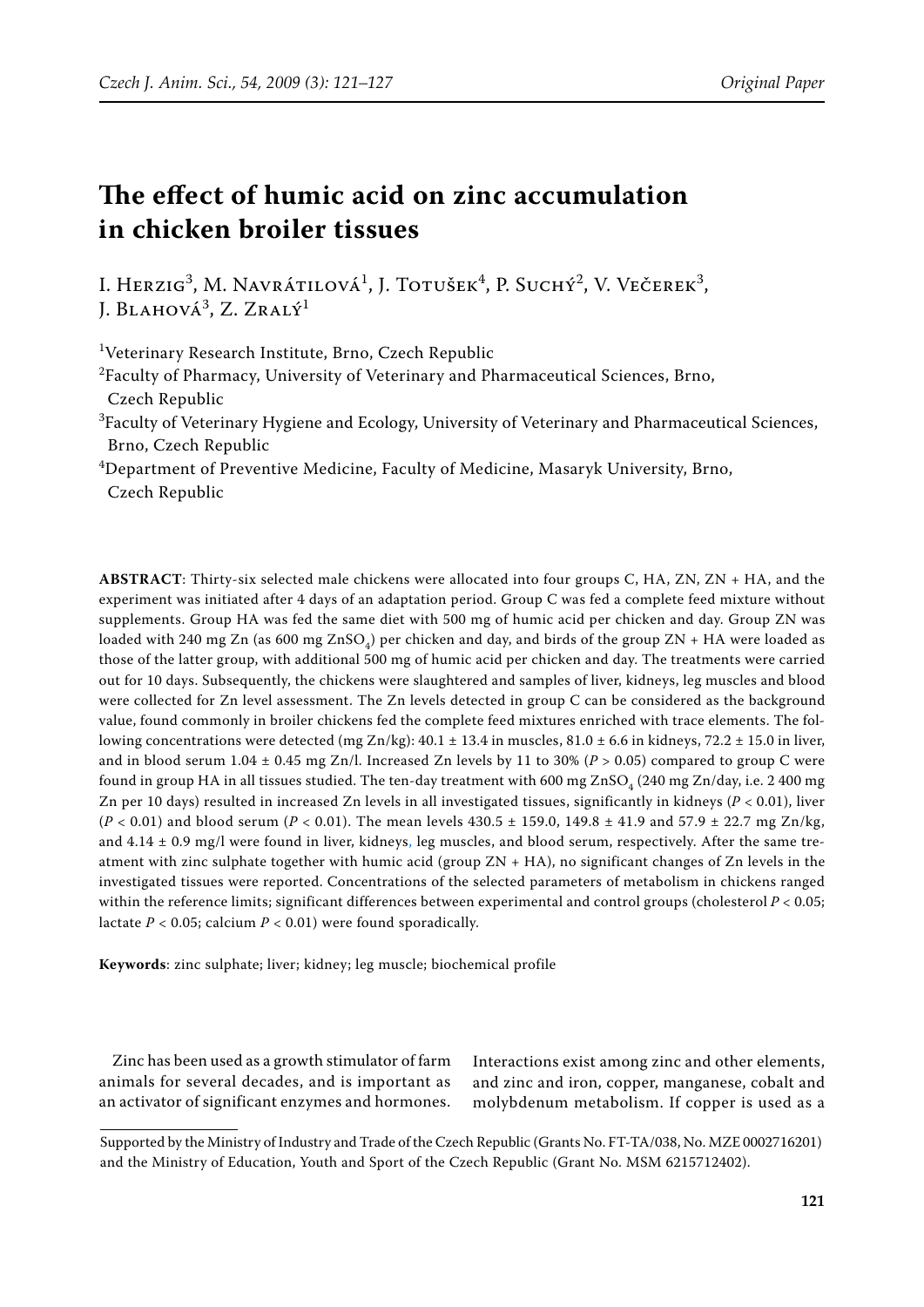# **The effect of humic acid on zinc accumulation in chicken broiler tissues**

I. Herzig<sup>3</sup>, M. Navrátilová<sup>1</sup>, J. Totušek<sup>4</sup>, P. Suchý<sup>2</sup>, V. Večerek<sup>3</sup>, J. Blahová<sup>3</sup>, Z. Zralý<sup>1</sup>

<sup>1</sup>Veterinary Research Institute, Brno, Czech Republic

- $^{2}$ Faculty of Pharmacy, University of Veterinary and Pharmaceutical Sciences, Brno, Czech Republic
- ${}^{3}$ Faculty of Veterinary Hygiene and Ecology, University of Veterinary and Pharmaceutical Sciences, Brno, Czech Republic

4 Department of Preventive Medicine, Faculty of Medicine, Masaryk University, Brno, Czech Republic

**ABSTRACT**: Thirty-six selected male chickens were allocated into four groups C, HA, ZN, ZN + HA, and the experiment was initiated after 4 days of an adaptation period. Group C was fed a complete feed mixture without supplements. Group HA was fed the same diet with 500 mg of humic acid per chicken and day. Group ZN was loaded with 240 mg Zn (as 600 mg  $ZnSO<sub>4</sub>$ ) per chicken and day, and birds of the group ZN + HA were loaded as those of the latter group, with additional 500 mg of humic acid per chicken and day. The treatments were carried out for 10 days. Subsequently, the chickens were slaughtered and samples of liver, kidneys, leg muscles and blood were collected for Zn level assessment. The Zn levels detected in group C can be considered as the background value, found commonly in broiler chickens fed the complete feed mixtures enriched with trace elements. The following concentrations were detected (mg Zn/kg): 40.1  $\pm$  13.4 in muscles, 81.0  $\pm$  6.6 in kidneys, 72.2  $\pm$  15.0 in liver, and in blood serum 1.04  $\pm$  0.45 mg Zn/l. Increased Zn levels by 11 to 30% ( $P > 0.05$ ) compared to group C were found in group HA in all tissues studied. The ten-day treatment with 600 mg  $ZnSO<sub>4</sub>$  (240 mg Zn/day, i.e. 2 400 mg Zn per 10 days) resulted in increased Zn levels in all investigated tissues, significantly in kidneys (*P* < 0.01), liver  $(P < 0.01)$  and blood serum ( $P < 0.01$ ). The mean levels  $430.5 \pm 159.0$ ,  $149.8 \pm 41.9$  and  $57.9 \pm 22.7$  mg Zn/kg, and  $4.14 \pm 0.9$  mg/l were found in liver, kidneys, leg muscles, and blood serum, respectively. After the same treatment with zinc sulphate together with humic acid (group  $ZN + HA$ ), no significant changes of Zn levels in the investigated tissues were reported. Concentrations of the selected parameters of metabolism in chickens ranged within the reference limits; significant differences between experimental and control groups (cholesterol *P* < 0.05; lactate  $P < 0.05$ ; calcium  $P < 0.01$ ) were found sporadically.

**Keywords**: zinc sulphate; liver; kidney; leg muscle; biochemical profile

Zinc has been used as a growth stimulator of farm animals for several decades, and is important as an activator of significant enzymes and hormones.

Interactions exist among zinc and other elements, and zinc and iron, copper, manganese, cobalt and molybdenum metabolism. If copper is used as a

Supported by the Ministry of Industry and Trade of the Czech Republic (Grants No. FT-TA/038, No. MZE 0002716201) and the Ministry of Education, Youth and Sport of the Czech Republic (Grant No. MSM 6215712402).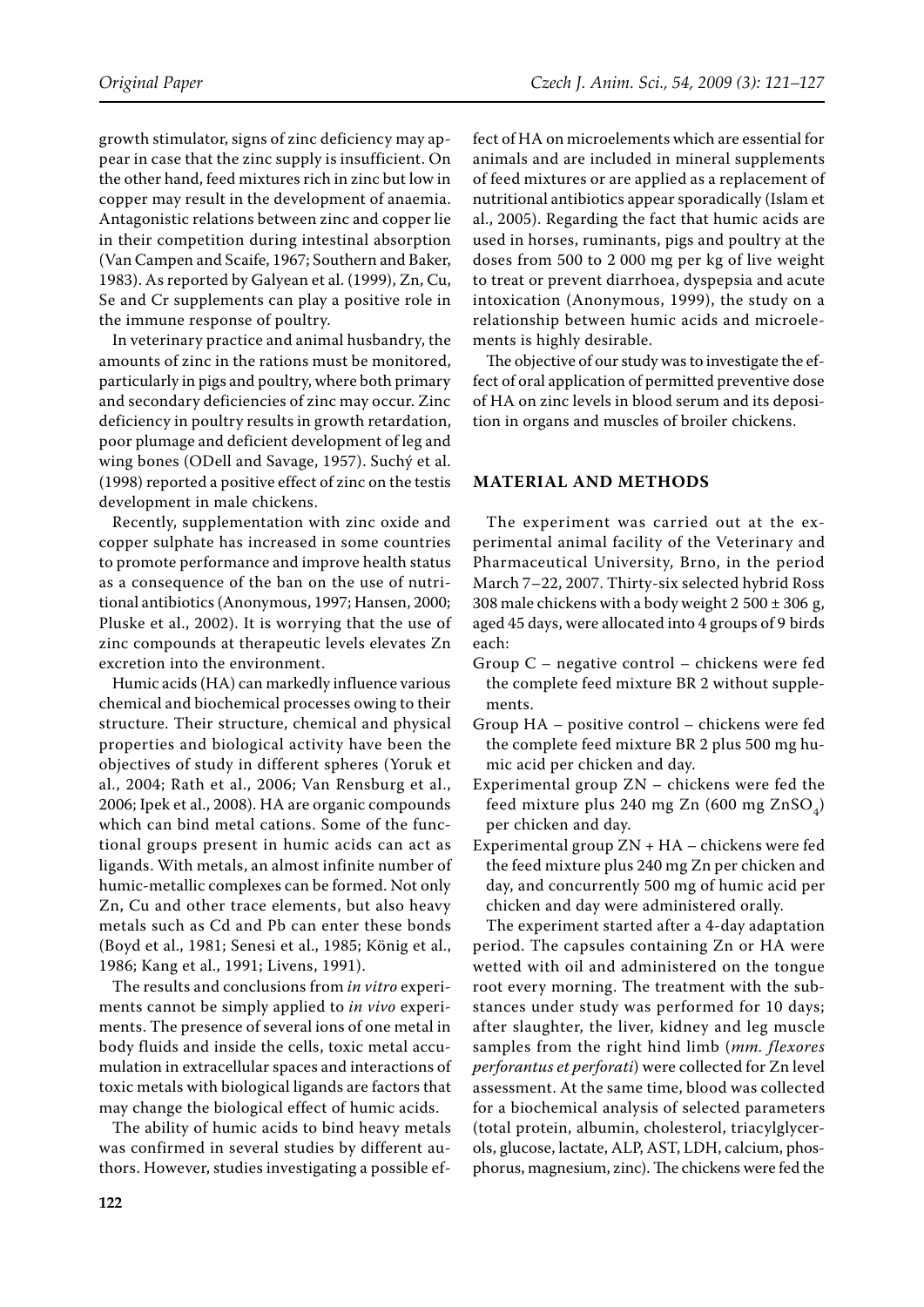growth stimulator, signs of zinc deficiency may appear in case that the zinc supply is insufficient. On the other hand, feed mixtures rich in zinc but low in copper may result in the development of anaemia. Antagonistic relations between zinc and copper lie in their competition during intestinal absorption (Van Campen and Scaife, 1967; Southern and Baker, 1983). As reported by Galyean et al. (1999), Zn, Cu, Se and Cr supplements can play a positive role in the immune response of poultry.

In veterinary practice and animal husbandry, the amounts of zinc in the rations must be monitored, particularly in pigs and poultry, where both primary and secondary deficiencies of zinc may occur. Zinc deficiency in poultry results in growth retardation, poor plumage and deficient development of leg and wing bones (ODell and Savage, 1957). Suchý et al. (1998) reported a positive effect of zinc on the testis development in male chickens.

Recently, supplementation with zinc oxide and copper sulphate has increased in some countries to promote performance and improve health status as a consequence of the ban on the use of nutritional antibiotics (Anonymous, 1997; Hansen, 2000; Pluske et al., 2002). It is worrying that the use of zinc compounds at therapeutic levels elevates Zn excretion into the environment.

Humic acids (HA) can markedly influence various chemical and biochemical processes owing to their structure. Their structure, chemical and physical properties and biological activity have been the objectives of study in different spheres (Yoruk et al., 2004; Rath et al., 2006; Van Rensburg et al., 2006; Ipek et al., 2008). HA are organic compounds which can bind metal cations. Some of the functional groups present in humic acids can act as ligands. With metals, an almost infinite number of humic-metallic complexes can be formed. Not only Zn, Cu and other trace elements, but also heavy metals such as Cd and Pb can enter these bonds (Boyd et al., 1981; Senesi et al., 1985; König et al., 1986; Kang et al., 1991; Livens, 1991).

The results and conclusions from *in vitro* experiments cannot be simply applied to *in vivo* experiments. The presence of several ions of one metal in body fluids and inside the cells, toxic metal accumulation in extracellular spaces and interactions of toxic metals with biological ligands are factors that may change the biological effect of humic acids.

The ability of humic acids to bind heavy metals was confirmed in several studies by different authors. However, studies investigating a possible effect of HA on microelements which are essential for animals and are included in mineral supplements of feed mixtures or are applied as a replacement of nutritional antibiotics appear sporadically (Islam et al., 2005). Regarding the fact that humic acids are used in horses, ruminants, pigs and poultry at the doses from 500 to 2 000 mg per kg of live weight to treat or prevent diarrhoea, dyspepsia and acute intoxication (Anonymous, 1999), the study on a relationship between humic acids and microelements is highly desirable.

The objective of our study was to investigate the effect of oral application of permitted preventive dose of HA on zinc levels in blood serum and its deposition in organs and muscles of broiler chickens.

### **MATERIAL AND METHODS**

The experiment was carried out at the experimental animal facility of the Veterinary and Pharmaceutical University, Brno, in the period March 7–22, 2007. Thirty-six selected hybrid Ross 308 male chickens with a body weight  $2\,500 \pm 306$  g, aged 45 days, were allocated into 4 groups of 9 birds each:

- Group C negative control chickens were fed the complete feed mixture BR 2 without supplements.
- Group HA positive control chickens were fed the complete feed mixture BR 2 plus 500 mg humic acid per chicken and day.
- Experimental group ZN chickens were fed the feed mixture plus 240 mg Zn (600 mg Zn $SO<sub>A</sub>$ ) per chicken and day.
- Experimental group ZN + HA chickens were fed the feed mixture plus 240 mg Zn per chicken and day, and concurrently 500 mg of humic acid per chicken and day were administered orally.

The experiment started after a 4-day adaptation period. The capsules containing Zn or HA were wetted with oil and administered on the tongue root every morning. The treatment with the substances under study was performed for 10 days; after slaughter, the liver, kidney and leg muscle samples from the right hind limb (*mm. flexores perforantus et perforati*) were collected for Zn level assessment. At the same time, blood was collected for a biochemical analysis of selected parameters (total protein, albumin, cholesterol, triacylglycerols, glucose, lactate, ALP, AST, LDH, calcium, phosphorus, magnesium, zinc). The chickens were fed the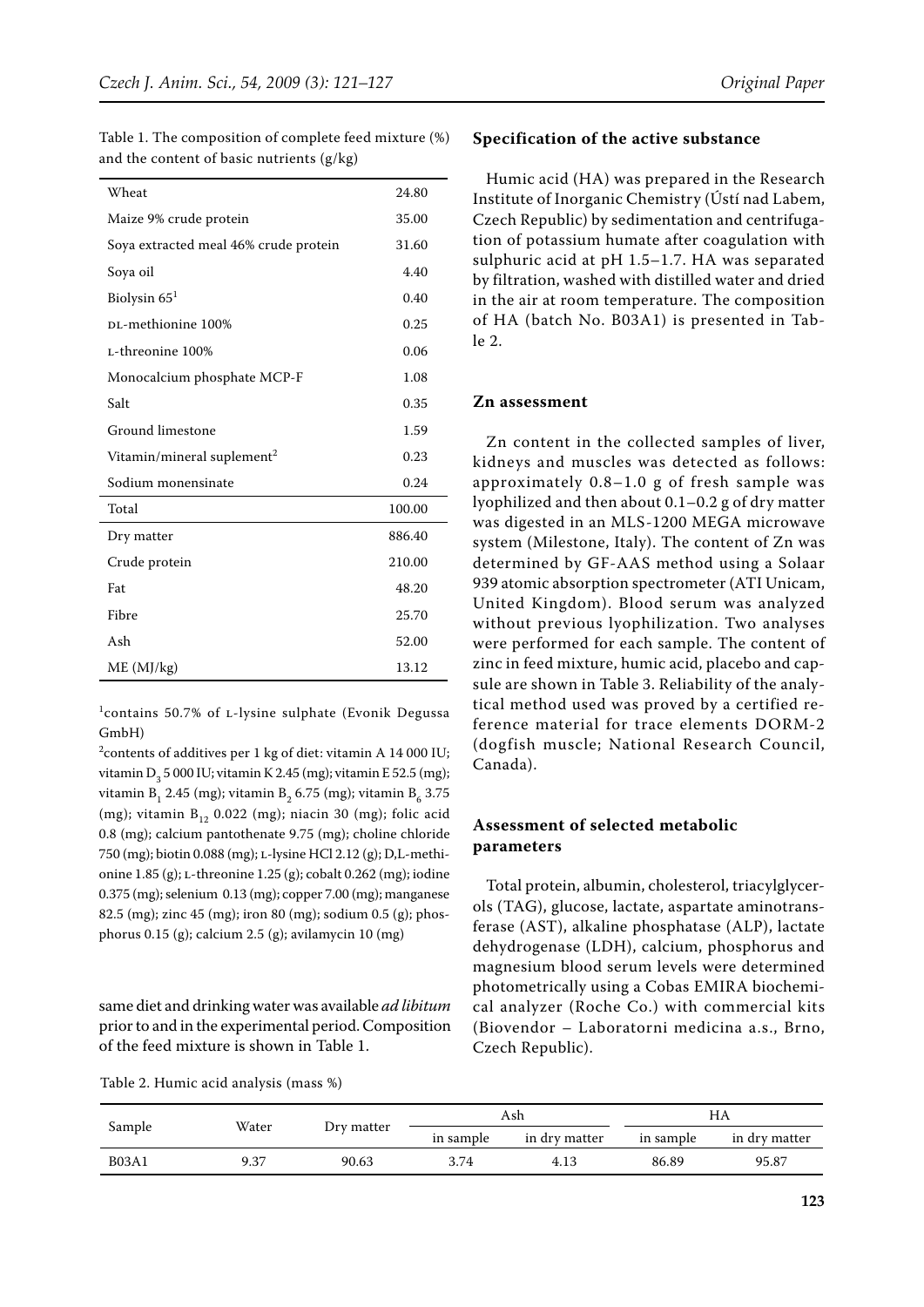| Wheat                                  | 24.80  |
|----------------------------------------|--------|
| Maize 9% crude protein                 | 35.00  |
| Soya extracted meal 46% crude protein  | 31.60  |
| Soya oil                               | 4.40   |
| Biolysin $651$                         | 0.40   |
| DL-methionine 100%                     | 0.25   |
| L-threonine 100%                       | 0.06   |
| Monocalcium phosphate MCP-F            | 1.08   |
| Salt                                   | 0.35   |
| Ground limestone                       | 1.59   |
| Vitamin/mineral suplement <sup>2</sup> | 0.23   |
| Sodium monensinate                     | 0.24   |
| Total                                  | 100.00 |
| Dry matter                             | 886.40 |
| Crude protein                          | 210.00 |
| Fat                                    | 48.20  |
| Fibre                                  | 25.70  |
| Ash                                    | 52.00  |
| ME (MJ/kg)                             | 13.12  |

Table 1. The composition of complete feed mixture (%) and the content of basic nutrients (g/kg)

<sup>1</sup>contains 50.7% of L-lysine sulphate (Evonik Degussa GmbH)

<sup>2</sup> contents of additives per 1 kg of diet: vitamin A 14 000 IU; vitamin  $D_3$  5 000 IU; vitamin K 2.45 (mg); vitamin E 52.5 (mg); vitamin B<sub>1</sub> 2.45 (mg); vitamin B<sub>2</sub> 6.75 (mg); vitamin B<sub>6</sub> 3.75 (mg); vitamin  $B_{12}$  0.022 (mg); niacin 30 (mg); folic acid 0.8 (mg); calcium pantothenate 9.75 (mg); choline chloride 750 (mg); biotin 0.088 (mg); l-lysine HCl 2.12 (g); D,L-methionine 1.85 (g); l-threonine 1.25 (g); cobalt 0.262 (mg); iodine 0.375 (mg); selenium 0.13 (mg); copper 7.00 (mg); manganese 82.5 (mg); zinc 45 (mg); iron 80 (mg); sodium 0.5 (g); phosphorus 0.15 (g); calcium 2.5 (g); avilamycin 10 (mg)

same diet and drinking water was available *ad libitum* prior to and in the experimental period. Composition of the feed mixture is shown in Table 1.

Table 2. Humic acid analysis (mass %)

### **Specification of the active substance**

Humic acid (HA) was prepared in the Research Institute of Inorganic Chemistry (Ústí nad Labem, Czech Republic) by sedimentation and centrifugation of potassium humate after coagulation with sulphuric acid at pH 1.5–1.7. HA was separated by filtration, washed with distilled water and dried in the air at room temperature. The composition of HA (batch No. B03A1) is presented in Table 2.

### **Zn assessment**

Zn content in the collected samples of liver, kidneys and muscles was detected as follows: approximately 0.8–1.0 g of fresh sample was lyophilized and then about 0.1–0.2 g of dry matter was digested in an MLS-1200 MEGA microwave system (Milestone, Italy). The content of Zn was determined by GF-AAS method using a Solaar 939 atomic absorption spectrometer (ATI Unicam, United Kingdom). Blood serum was analyzed without previous lyophilization. Two analyses were performed for each sample. The content of zinc in feed mixture, humic acid, placebo and capsule are shown in Table 3. Reliability of the analytical method used was proved by a certified reference material for trace elements DORM-2 (dogfish muscle; National Research Council, Canada).

### **Assessment of selected metabolic parameters**

Total protein, albumin, cholesterol, triacylglycerols (TAG), glucose, lactate, aspartate aminotransferase (AST), alkaline phosphatase (ALP), lactate dehydrogenase (LDH), calcium, phosphorus and magnesium blood serum levels were determined photometrically using a Cobas EMIRA biochemical analyzer (Roche Co.) with commercial kits (Biovendor – Laboratorni medicina a.s., Brno, Czech Republic).

| Sample       |       |            | Ash       |               | HА        |               |
|--------------|-------|------------|-----------|---------------|-----------|---------------|
|              | Water | Dry matter | in sample | in dry matter | in sample | in dry matter |
| <b>B03A1</b> | 9.37  | 90.63      | 3.74      | 4.13          | 86.89     | 95.87         |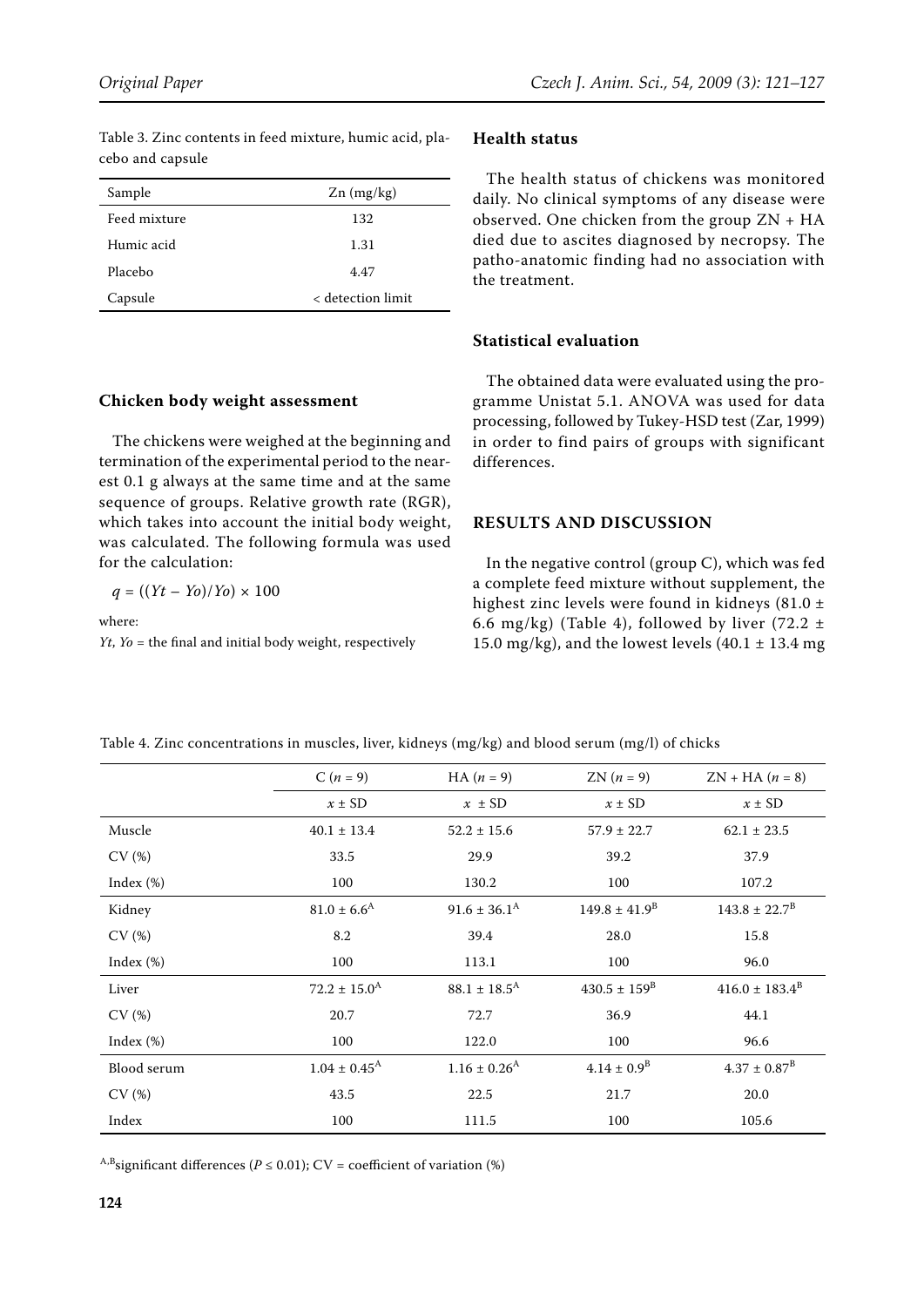| Sample       | $Zn$ (mg/kg)      |
|--------------|-------------------|
| Feed mixture | 132               |
| Humic acid   | 1.31              |
| Placebo      | 4.47              |
| Capsule      | < detection limit |

The chickens were weighed at the beginning and termination of the experimental period to the nearest 0.1 g always at the same time and at the same sequence of groups. Relative growth rate (RGR), which takes into account the initial body weight, was calculated. The following formula was used

*Yt*, *Yo* = the final and initial body weight, respectively

**Chicken body weight assessment**

for the calculation:

where:

 $q = ((Yt - Y0)/Y0) \times 100$ 

Table 3. Zinc contents in feed mixture, humic acid, placebo and capsule

## **Health status**

The health status of chickens was monitored daily. No clinical symptoms of any disease were observed. One chicken from the group ZN + HA died due to ascites diagnosed by necropsy. The patho-anatomic finding had no association with the treatment.

### **Statistical evaluation**

The obtained data were evaluated using the programme Unistat 5.1. ANOVA was used for data processing, followed by Tukey-HSD test (Zar, 1999) in order to find pairs of groups with significant differences.

### **RESULTS AND DISCUSSION**

In the negative control (group C), which was fed a complete feed mixture without supplement, the highest zinc levels were found in kidneys (81.0 ± 6.6 mg/kg) (Table 4), followed by liver (72.2  $\pm$ 15.0 mg/kg), and the lowest levels  $(40.1 \pm 13.4 \text{ mg})$ 

|              | $C(n = 9)$                 | $HA (n = 9)$                 | $ZN(n=9)$               | $ZN + HA (n = 8)$        |
|--------------|----------------------------|------------------------------|-------------------------|--------------------------|
|              | $x \pm SD$                 | $x \pm SD$                   | $x \pm SD$              | $x \pm SD$               |
| Muscle       | $40.1 \pm 13.4$            | $52.2 \pm 15.6$              | $57.9 \pm 22.7$         | $62.1 \pm 23.5$          |
| CV(%)        | 33.5                       | 29.9                         | 39.2                    | 37.9                     |
| Index $(\%)$ | 100                        | 130.2                        | 100                     | 107.2                    |
| Kidney       | $81.0 \pm 6.6^{\rm A}$     | $91.6 \pm 36.1^{\text{A}}$   | $149.8 \pm 41.9^B$      | $143.8 \pm 22.7^{\rm B}$ |
| CV(%)        | 8.2                        | 39.4                         | 28.0                    | 15.8                     |
| Index $(\%)$ | 100                        | 113.1                        | 100                     | 96.0                     |
| Liver        | $72.2 \pm 15.0^{\rm A}$    | $88.1 \pm 18.5^{\text{A}}$   | $430.5 \pm 159^{\rm B}$ | $416.0 \pm 183.4^B$      |
| CV(%)        | 20.7                       | 72.7                         | 36.9                    | 44.1                     |
| Index $(\%)$ | 100                        | 122.0                        | 100                     | 96.6                     |
| Blood serum  | $1.04 \pm 0.45^{\text{A}}$ | $1.16 \pm 0.26$ <sup>A</sup> | $4.14 \pm 0.9^B$        | $4.37 \pm 0.87^{\rm B}$  |
| CV(%)        | 43.5                       | 22.5                         | 21.7                    | 20.0                     |
| Index        | 100                        | 111.5                        | 100                     | 105.6                    |

Table 4. Zinc concentrations in muscles, liver, kidneys (mg/kg) and blood serum (mg/l) of chicks

<sup>A,B</sup>significant differences ( $P \le 0.01$ ); CV = coefficient of variation (%)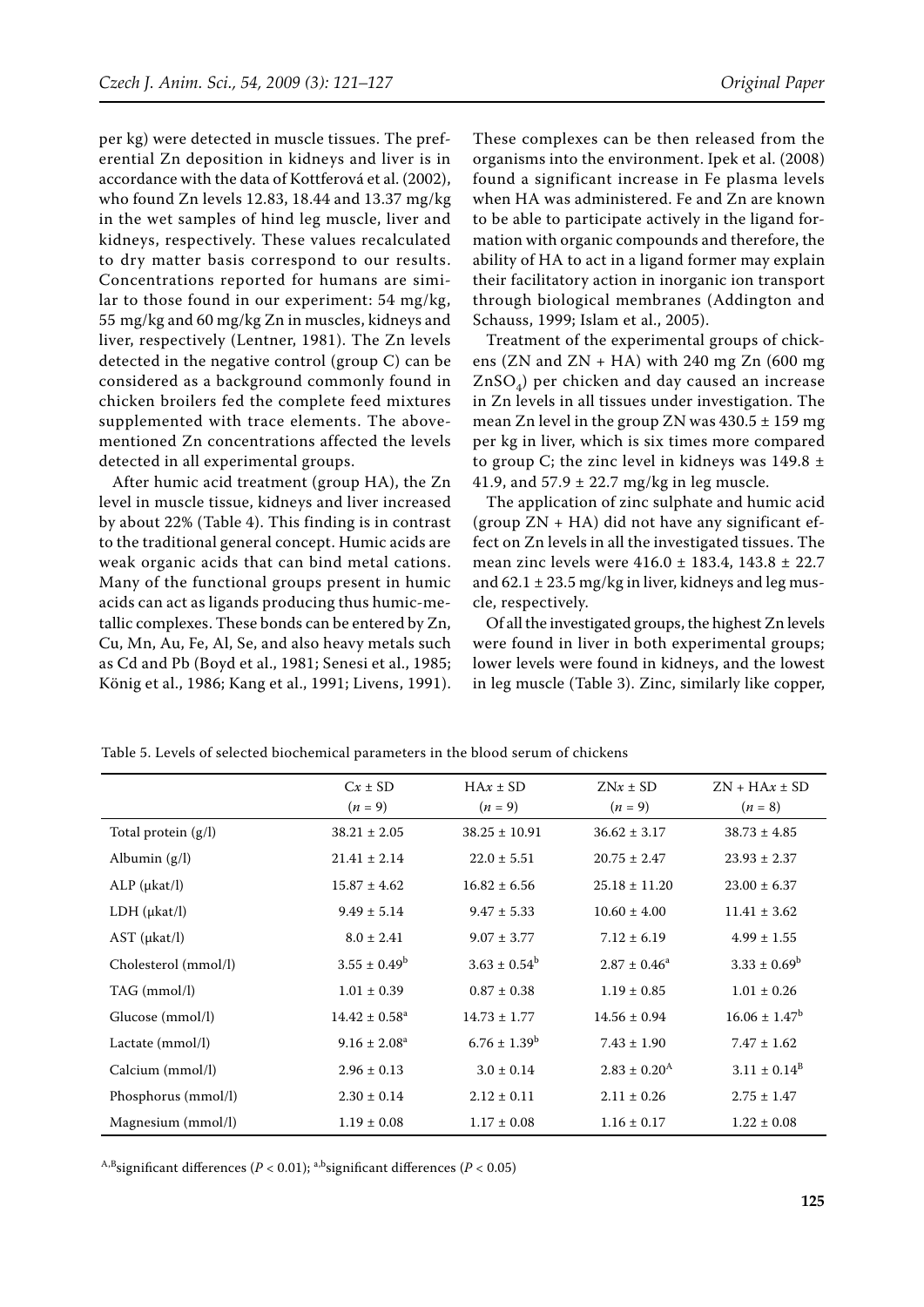per kg) were detected in muscle tissues. The preferential Zn deposition in kidneys and liver is in accordance with the data of Kottferová et al. (2002), who found Zn levels 12.83, 18.44 and 13.37 mg/kg in the wet samples of hind leg muscle, liver and kidneys, respectively. These values recalculated to dry matter basis correspond to our results. Concentrations reported for humans are similar to those found in our experiment: 54 mg/kg, 55 mg/kg and 60 mg/kg Zn in muscles, kidneys and liver, respectively (Lentner, 1981). The Zn levels detected in the negative control (group C) can be considered as a background commonly found in chicken broilers fed the complete feed mixtures supplemented with trace elements. The abovementioned Zn concentrations affected the levels detected in all experimental groups.

After humic acid treatment (group HA), the Zn level in muscle tissue, kidneys and liver increased by about 22% (Table 4). This finding is in contrast to the traditional general concept. Humic acids are weak organic acids that can bind metal cations. Many of the functional groups present in humic acids can act as ligands producing thus humic-metallic complexes. These bonds can be entered by Zn, Cu, Mn, Au, Fe, Al, Se, and also heavy metals such as Cd and Pb (Boyd et al., 1981; Senesi et al., 1985; König et al., 1986; Kang et al., 1991; Livens, 1991).

These complexes can be then released from the organisms into the environment. Ipek et al. (2008) found a significant increase in Fe plasma levels when HA was administered. Fe and Zn are known to be able to participate actively in the ligand formation with organic compounds and therefore, the ability of HA to act in a ligand former may explain their facilitatory action in inorganic ion transport through biological membranes (Addington and Schauss, 1999; Islam et al., 2005).

Treatment of the experimental groups of chickens (ZN and  $ZN$  + HA) with 240 mg Zn (600 mg)  $ZnSO_4$ ) per chicken and day caused an increase in Zn levels in all tissues under investigation. The mean Zn level in the group ZN was  $430.5 \pm 159$  mg per kg in liver, which is six times more compared to group C; the zinc level in kidneys was  $149.8 \pm$ 41.9, and  $57.9 \pm 22.7$  mg/kg in leg muscle.

The application of zinc sulphate and humic acid (group  $ZN + HA$ ) did not have any significant effect on Zn levels in all the investigated tissues. The mean zinc levels were 416.0 ± 183.4, 143.8 ± 22.7 and  $62.1 \pm 23.5$  mg/kg in liver, kidneys and leg muscle, respectively.

Of all the investigated groups, the highest Zn levels were found in liver in both experimental groups; lower levels were found in kidneys, and the lowest in leg muscle (Table 3). Zinc, similarly like copper,

|                      | $Cx \pm SD$<br>$(n = 9)$      | $H Ax \pm SD$<br>$(n = 9)$ | $ZNx \pm SD$<br>$(n = 9)$ | $ZN + HAx \pm SD$<br>$(n = 8)$ |
|----------------------|-------------------------------|----------------------------|---------------------------|--------------------------------|
| Total protein (g/l)  | $38.21 \pm 2.05$              | $38.25 \pm 10.91$          | $36.62 \pm 3.17$          | $38.73 \pm 4.85$               |
| Albumin $(g/l)$      | $21.41 \pm 2.14$              | $22.0 \pm 5.51$            | $20.75 \pm 2.47$          | $23.93 \pm 2.37$               |
| $ALP$ ( $\mu$ kat/l) | $15.87 \pm 4.62$              | $16.82 \pm 6.56$           | $25.18 \pm 11.20$         | $23.00 \pm 6.37$               |
| LDH (ukat/l)         | $9.49 \pm 5.14$               | $9.47 \pm 5.33$            | $10.60 \pm 4.00$          | $11.41 \pm 3.62$               |
| $AST$ ( $\mu$ kat/l) | $8.0 \pm 2.41$                | $9.07 \pm 3.77$            | $7.12 \pm 6.19$           | $4.99 \pm 1.55$                |
| Cholesterol (mmol/l) | $3.55 \pm 0.49^b$             | $3.63 \pm 0.54^b$          | $2.87 \pm 0.46^a$         | $3.33 \pm 0.69^b$              |
| TAG (mmol/l)         | $1.01 \pm 0.39$               | $0.87 \pm 0.38$            | $1.19 \pm 0.85$           | $1.01 \pm 0.26$                |
| Glucose (mmol/l)     | $14.42 \pm 0.58$ <sup>a</sup> | $14.73 \pm 1.77$           | $14.56 \pm 0.94$          | $16.06 \pm 1.47^b$             |
| Lactate (mmol/l)     | $9.16 \pm 2.08^a$             | $6.76 \pm 1.39^b$          | $7.43 \pm 1.90$           | $7.47 \pm 1.62$                |
| Calcium (mmol/l)     | $2.96 \pm 0.13$               | $3.0 \pm 0.14$             | $2.83 \pm 0.20^{\rm A}$   | $3.11 \pm 0.14^{\rm B}$        |
| Phosphorus (mmol/l)  | $2.30 \pm 0.14$               | $2.12 \pm 0.11$            | $2.11 \pm 0.26$           | $2.75 \pm 1.47$                |
| Magnesium (mmol/l)   | $1.19 \pm 0.08$               | $1.17 \pm 0.08$            | $1.16 \pm 0.17$           | $1.22 \pm 0.08$                |

Table 5. Levels of selected biochemical parameters in the blood serum of chickens

<sup>A,B</sup>significant differences ( $P < 0.01$ ); <sup>a,b</sup>significant differences ( $P < 0.05$ )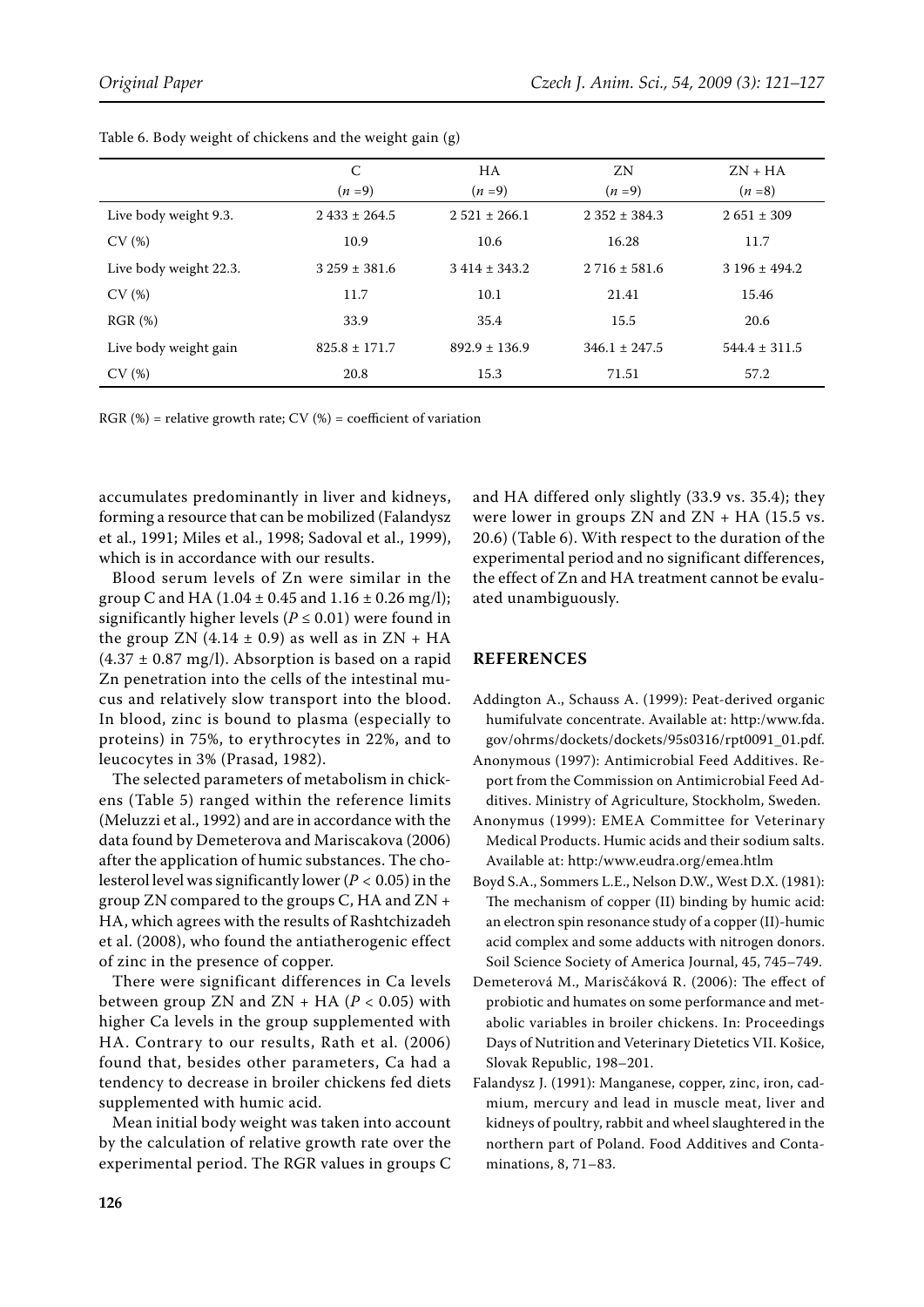|                        | C<br>$(n=9)$      | <b>HA</b><br>$(n=9)$ | ZN<br>$(n=9)$     | $ZN$ + $HA$<br>$(n=8)$ |
|------------------------|-------------------|----------------------|-------------------|------------------------|
| Live body weight 9.3.  | $2433 \pm 264.5$  | $2.521 \pm 266.1$    | $2.352 \pm 384.3$ | $2651 \pm 309$         |
| CV(%)                  | 10.9              | 10.6                 | 16.28             | 11.7                   |
| Live body weight 22.3. | $3259 \pm 381.6$  | $3414 \pm 343.2$     | $2716 \pm 581.6$  | $3196 \pm 494.2$       |
| CV(%)                  | 11.7              | 10.1                 | 21.41             | 15.46                  |
| RGR(%)                 | 33.9              | 35.4                 | 15.5              | 20.6                   |
| Live body weight gain  | $825.8 \pm 171.7$ | $892.9 \pm 136.9$    | $346.1 \pm 247.5$ | $544.4 \pm 311.5$      |
| CV(%)                  | 20.8              | 15.3                 | 71.51             | 57.2                   |

Table 6. Body weight of chickens and the weight gain (g)

RGR  $(\%)$  = relative growth rate; CV  $(\%)$  = coefficient of variation

accumulates predominantly in liver and kidneys, forming a resource that can be mobilized (Falandysz et al., 1991; Miles et al., 1998; Sadoval et al., 1999), which is in accordance with our results.

Blood serum levels of Zn were similar in the group C and HA (1.04  $\pm$  0.45 and 1.16  $\pm$  0.26 mg/l); significantly higher levels ( $P \le 0.01$ ) were found in the group ZN  $(4.14 \pm 0.9)$  as well as in ZN + HA  $(4.37 \pm 0.87 \text{ mg/l})$ . Absorption is based on a rapid Zn penetration into the cells of the intestinal mucus and relatively slow transport into the blood. In blood, zinc is bound to plasma (especially to proteins) in 75%, to erythrocytes in 22%, and to leucocytes in 3% (Prasad, 1982).

The selected parameters of metabolism in chickens (Table 5) ranged within the reference limits (Meluzzi et al., 1992) and are in accordance with the data found by Demeterova and Mariscakova (2006) after the application of humic substances. The cholesterol level was significantly lower (*P* < 0.05) in the group ZN compared to the groups C, HA and ZN + HA, which agrees with the results of Rashtchizadeh et al. (2008), who found the antiatherogenic effect of zinc in the presence of copper.

There were significant differences in Ca levels between group ZN and  $ZN$  + HA ( $P$  < 0.05) with higher Ca levels in the group supplemented with HA. Contrary to our results, Rath et al. (2006) found that, besides other parameters, Ca had a tendency to decrease in broiler chickens fed diets supplemented with humic acid.

Mean initial body weight was taken into account by the calculation of relative growth rate over the experimental period. The RGR values in groups C and HA differed only slightly (33.9 vs. 35.4); they were lower in groups  $ZN$  and  $ZN$  + HA (15.5 vs. 20.6) (Table 6). With respect to the duration of the experimental period and no significant differences, the effect of Zn and HA treatment cannot be evaluated unambiguously.

### **REFERENCES**

- Addington A., Schauss A. (1999): Peat-derived organic humifulvate concentrate. Available at: http:/www.fda. gov/ohrms/dockets/dockets/95s0316/rpt0091\_01.pdf.
- Anonymous (1997): Antimicrobial Feed Additives. Report from the Commission on Antimicrobial Feed Additives. Ministry of Agriculture, Stockholm, Sweden.
- Anonymus (1999): EMEA Committee for Veterinary Medical Products. Humic acids and their sodium salts. Available at: http:/www.eudra.org/emea.htlm
- Boyd S.A., Sommers L.E., Nelson D.W., West D.X. (1981): The mechanism of copper (II) binding by humic acid: an electron spin resonance study of a copper (II)-humic acid complex and some adducts with nitrogen donors. Soil Science Society of America Journal, 45, 745–749.
- Demeterová M., Marisčáková R. (2006): The effect of probiotic and humates on some performance and metabolic variables in broiler chickens. In: Proceedings Days of Nutrition and Veterinary Dietetics VII. Košice, Slovak Republic, 198–201.
- Falandysz J. (1991): Manganese, copper, zinc, iron, cadmium, mercury and lead in muscle meat, liver and kidneys of poultry, rabbit and wheel slaughtered in the northern part of Poland. Food Additives and Contaminations, 8, 71–83.